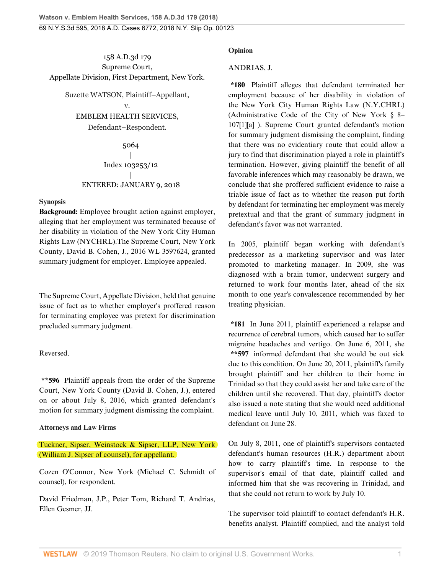### 158 A.D.3d 179 Supreme Court, Appellate Division, First Department, New York.

Suzette WATSON, Plaintiff–Appellant, v.

[EMBLEM HEALTH SERVICES,](http://www.westlaw.com/Search/Results.html?query=advanced%3a+OAID(5059508965)&saveJuris=False&contentType=BUSINESS-INVESTIGATOR&startIndex=1&contextData=(sc.Default)&categoryPageUrl=Home%2fCompanyInvestigator&originationContext=document&vr=3.0&rs=cblt1.0&transitionType=DocumentItem)

Defendant–Respondent.

5064 | Index 103253/12 | ENTERED: JANUARY 9, 2018

#### **Synopsis**

**Background:** Employee brought action against employer, alleging that her employment was terminated because of her disability in violation of the New York City Human Rights Law (NYCHRL).The Supreme Court, New York County, [David B. Cohen](http://www.westlaw.com/Link/Document/FullText?findType=h&pubNum=176284&cite=0155064801&originatingDoc=Id7753020f55b11e7929ecf6e705a87cd&refType=RQ&originationContext=document&vr=3.0&rs=cblt1.0&transitionType=DocumentItem&contextData=(sc.Search)), J., [2016 WL 3597624,](http://www.westlaw.com/Link/Document/FullText?findType=Y&serNum=2039308038&pubNum=0000999&originatingDoc=Id7753020f55b11e7929ecf6e705a87cd&refType=RP&originationContext=document&vr=3.0&rs=cblt1.0&transitionType=DocumentItem&contextData=(sc.Search)) granted summary judgment for employer. Employee appealed.

The Supreme Court, Appellate Division, held that genuine issue of fact as to whether employer's proffered reason for terminating employee was pretext for discrimination precluded summary judgment.

# Reversed.

**\*\*596** Plaintiff appeals from the order of the Supreme Court, New York County ([David B. Cohen](http://www.westlaw.com/Link/Document/FullText?findType=h&pubNum=176284&cite=0155064801&originatingDoc=Id7753020f55b11e7929ecf6e705a87cd&refType=RQ&originationContext=document&vr=3.0&rs=cblt1.0&transitionType=DocumentItem&contextData=(sc.Search)), J.), entered on or about July 8, 2016, which granted defendant's motion for summary judgment dismissing the complaint.

# **Attorneys and Law Firms**

Tuckner, Sipser, Weinstock & Sipser, LLP, New York [\(William J. Sipser](http://www.westlaw.com/Link/Document/FullText?findType=h&pubNum=176284&cite=0296090901&originatingDoc=Id7753020f55b11e7929ecf6e705a87cd&refType=RQ&originationContext=document&vr=3.0&rs=cblt1.0&transitionType=DocumentItem&contextData=(sc.Search)) of counsel), for appellant.

Cozen O'Connor, New York ([Michael C. Schmidt](http://www.westlaw.com/Link/Document/FullText?findType=h&pubNum=176284&cite=0237125501&originatingDoc=Id7753020f55b11e7929ecf6e705a87cd&refType=RQ&originationContext=document&vr=3.0&rs=cblt1.0&transitionType=DocumentItem&contextData=(sc.Search)) of counsel), for respondent.

[David Friedman](http://www.westlaw.com/Link/Document/FullText?findType=h&pubNum=176284&cite=0188464301&originatingDoc=Id7753020f55b11e7929ecf6e705a87cd&refType=RQ&originationContext=document&vr=3.0&rs=cblt1.0&transitionType=DocumentItem&contextData=(sc.Search)), J.P., [Peter Tom,](http://www.westlaw.com/Link/Document/FullText?findType=h&pubNum=176284&cite=0151533601&originatingDoc=Id7753020f55b11e7929ecf6e705a87cd&refType=RQ&originationContext=document&vr=3.0&rs=cblt1.0&transitionType=DocumentItem&contextData=(sc.Search)) [Richard T. Andrias](http://www.westlaw.com/Link/Document/FullText?findType=h&pubNum=176284&cite=0213536601&originatingDoc=Id7753020f55b11e7929ecf6e705a87cd&refType=RQ&originationContext=document&vr=3.0&rs=cblt1.0&transitionType=DocumentItem&contextData=(sc.Search)), [Ellen Gesmer](http://www.westlaw.com/Link/Document/FullText?findType=h&pubNum=176284&cite=0173863101&originatingDoc=Id7753020f55b11e7929ecf6e705a87cd&refType=RQ&originationContext=document&vr=3.0&rs=cblt1.0&transitionType=DocumentItem&contextData=(sc.Search)), JJ.

## **Opinion**

# [ANDRIAS,](http://www.westlaw.com/Link/Document/FullText?findType=h&pubNum=176284&cite=0213536601&originatingDoc=Id7753020f55b11e7929ecf6e705a87cd&refType=RQ&originationContext=document&vr=3.0&rs=cblt1.0&transitionType=DocumentItem&contextData=(sc.Search)) J.

**\*180** Plaintiff alleges that defendant terminated her employment because of her disability in violation of the New York City Human Rights Law (N.Y.CHRL) (Administrative Code of the City of New York § 8– 107[1][a] ). Supreme Court granted defendant's motion for summary judgment dismissing the complaint, finding that there was no evidentiary route that could allow a jury to find that discrimination played a role in plaintiff's termination. However, giving plaintiff the benefit of all favorable inferences which may reasonably be drawn, we conclude that she proffered sufficient evidence to raise a triable issue of fact as to whether the reason put forth by defendant for terminating her employment was merely pretextual and that the grant of summary judgment in defendant's favor was not warranted.

In 2005, plaintiff began working with defendant's predecessor as a marketing supervisor and was later promoted to marketing manager. In 2009, she was diagnosed with a [brain tumor,](http://www.westlaw.com/Link/Document/FullText?entityType=disease&entityId=Ic3045f22475411db9765f9243f53508a&originationContext=document&transitionType=DocumentItem&contextData=(sc.Default)&vr=3.0&rs=cblt1.0) underwent surgery and returned to work four months later, ahead of the six month to one year's convalescence recommended by her treating physician.

**\*181** In June 2011, plaintiff experienced a [relapse](http://www.westlaw.com/Link/Document/FullText?entityType=disease&entityId=Ic05eba14475411db9765f9243f53508a&originationContext=document&transitionType=DocumentItem&contextData=(sc.Default)&vr=3.0&rs=cblt1.0) and recurrence of [cerebral tumors,](http://www.westlaw.com/Link/Document/FullText?entityType=disease&entityId=Iac49bc80475411db9765f9243f53508a&originationContext=document&transitionType=DocumentItem&contextData=(sc.Default)&vr=3.0&rs=cblt1.0) which caused her to suffer migraine headaches and vertigo. On June 6, 2011, she **\*\*597** informed defendant that she would be out sick due to this condition. On June 20, 2011, plaintiff's family brought plaintiff and her children to their home in Trinidad so that they could assist her and take care of the children until she recovered. That day, plaintiff's doctor also issued a note stating that she would need additional medical leave until July 10, 2011, which was faxed to defendant on June 28.

On July 8, 2011, one of plaintiff's supervisors contacted defendant's human resources (H.R.) department about how to carry plaintiff's time. In response to the supervisor's email of that date, plaintiff called and informed him that she was recovering in Trinidad, and that she could not return to work by July 10.

The supervisor told plaintiff to contact defendant's H.R. benefits analyst. Plaintiff complied, and the analyst told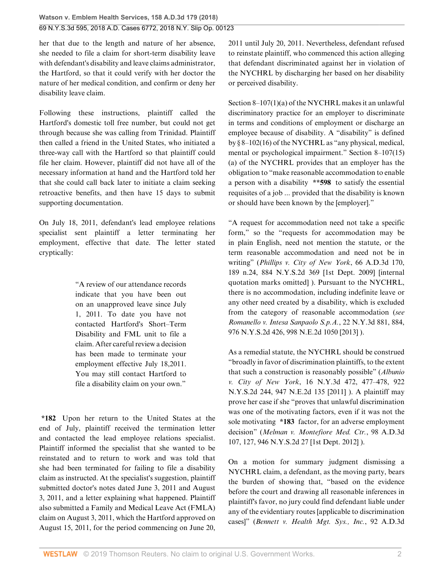her that due to the length and nature of her absence, she needed to file a claim for short-term disability leave with defendant's disability and leave claims administrator, the Hartford, so that it could verify with her doctor the nature of her medical condition, and confirm or deny her disability leave claim.

Following these instructions, plaintiff called the Hartford's domestic toll free number, but could not get through because she was calling from Trinidad. Plaintiff then called a friend in the United States, who initiated a three-way call with the Hartford so that plaintiff could file her claim. However, plaintiff did not have all of the necessary information at hand and the Hartford told her that she could call back later to initiate a claim seeking retroactive benefits, and then have 15 days to submit supporting documentation.

On July 18, 2011, defendant's lead employee relations specialist sent plaintiff a letter terminating her employment, effective that date. The letter stated cryptically:

> "A review of our attendance records indicate that you have been out on an unapproved leave since July 1, 2011. To date you have not contacted Hartford's Short–Term Disability and FML unit to file a claim. After careful review a decision has been made to terminate your employment effective July 18,2011. You may still contact Hartford to file a disability claim on your own."

**\*182** Upon her return to the United States at the end of July, plaintiff received the termination letter and contacted the lead employee relations specialist. Plaintiff informed the specialist that she wanted to be reinstated and to return to work and was told that she had been terminated for failing to file a disability claim as instructed. At the specialist's suggestion, plaintiff submitted doctor's notes dated June 3, 2011 and August 3, 2011, and a letter explaining what happened. Plaintiff also submitted a Family and Medical Leave Act (FMLA) claim on August 3, 2011, which the Hartford approved on August 15, 2011, for the period commencing on June 20,

2011 until July 20, 2011. Nevertheless, defendant refused to reinstate plaintiff, who commenced this action alleging that defendant discriminated against her in violation of the NYCHRL by discharging her based on her disability or perceived disability.

Section 8–107(1)(a) of the NYCHRL makes it an unlawful discriminatory practice for an employer to discriminate in terms and conditions of employment or discharge an employee because of disability. A "disability" is defined by § 8–102(16) of the NYCHRL as "any physical, medical, mental or psychological impairment." Section 8–107(15) (a) of the NYCHRL provides that an employer has the obligation to "make reasonable accommodation to enable a person with a disability **\*\*598** to satisfy the essential requisites of a job ... provided that the disability is known or should have been known by the [employer]."

"A request for accommodation need not take a specific form," so the "requests for accommodation may be in plain English, need not mention the statute, or the term reasonable accommodation and need not be in writing" (*[Phillips v. City of New York](http://www.westlaw.com/Link/Document/FullText?findType=Y&serNum=2019467641&pubNum=0000602&originatingDoc=Id7753020f55b11e7929ecf6e705a87cd&refType=RP&originationContext=document&vr=3.0&rs=cblt1.0&transitionType=DocumentItem&contextData=(sc.Search))*, 66 A.D.3d 170, [189 n.24, 884 N.Y.S.2d 369 \[1st Dept. 2009\]](http://www.westlaw.com/Link/Document/FullText?findType=Y&serNum=2019467641&pubNum=0000602&originatingDoc=Id7753020f55b11e7929ecf6e705a87cd&refType=RP&originationContext=document&vr=3.0&rs=cblt1.0&transitionType=DocumentItem&contextData=(sc.Search)) [internal quotation marks omitted] ). Pursuant to the NYCHRL, there is no accommodation, including indefinite leave or any other need created by a disability, which is excluded from the category of reasonable accommodation (*see [Romanello v. Intesa Sanpaolo S.p.A.](http://www.westlaw.com/Link/Document/FullText?findType=Y&serNum=2031743611&pubNum=0000578&originatingDoc=Id7753020f55b11e7929ecf6e705a87cd&refType=RP&originationContext=document&vr=3.0&rs=cblt1.0&transitionType=DocumentItem&contextData=(sc.Search))*, 22 N.Y.3d 881, 884, [976 N.Y.S.2d 426, 998 N.E.2d 1050 \[2013\]](http://www.westlaw.com/Link/Document/FullText?findType=Y&serNum=2031743611&pubNum=0000578&originatingDoc=Id7753020f55b11e7929ecf6e705a87cd&refType=RP&originationContext=document&vr=3.0&rs=cblt1.0&transitionType=DocumentItem&contextData=(sc.Search)) ).

As a remedial statute, the NYCHRL should be construed "broadly in favor of discrimination plaintiffs, to the extent that such a construction is reasonably possible" (*[Albunio](http://www.westlaw.com/Link/Document/FullText?findType=Y&serNum=2024900121&pubNum=0000578&originatingDoc=Id7753020f55b11e7929ecf6e705a87cd&refType=RP&originationContext=document&vr=3.0&rs=cblt1.0&transitionType=DocumentItem&contextData=(sc.Search)) v. City of New York*[, 16 N.Y.3d 472, 477–478, 922](http://www.westlaw.com/Link/Document/FullText?findType=Y&serNum=2024900121&pubNum=0000578&originatingDoc=Id7753020f55b11e7929ecf6e705a87cd&refType=RP&originationContext=document&vr=3.0&rs=cblt1.0&transitionType=DocumentItem&contextData=(sc.Search)) [N.Y.S.2d 244, 947 N.E.2d 135 \[2011\]](http://www.westlaw.com/Link/Document/FullText?findType=Y&serNum=2024900121&pubNum=0000578&originatingDoc=Id7753020f55b11e7929ecf6e705a87cd&refType=RP&originationContext=document&vr=3.0&rs=cblt1.0&transitionType=DocumentItem&contextData=(sc.Search)) ). A plaintiff may prove her case if she "proves that unlawful discrimination was one of the motivating factors, even if it was not the sole motivating **\*183** factor, for an adverse employment decision" (*[Melman v. Montefiore Med. Ctr.](http://www.westlaw.com/Link/Document/FullText?findType=Y&serNum=2027785179&pubNum=0000602&originatingDoc=Id7753020f55b11e7929ecf6e705a87cd&refType=RP&originationContext=document&vr=3.0&rs=cblt1.0&transitionType=DocumentItem&contextData=(sc.Search))*, 98 A.D.3d [107, 127, 946 N.Y.S.2d 27 \[1st Dept. 2012\]](http://www.westlaw.com/Link/Document/FullText?findType=Y&serNum=2027785179&pubNum=0000602&originatingDoc=Id7753020f55b11e7929ecf6e705a87cd&refType=RP&originationContext=document&vr=3.0&rs=cblt1.0&transitionType=DocumentItem&contextData=(sc.Search)) ).

On a motion for summary judgment dismissing a NYCHRL claim, a defendant, as the moving party, bears the burden of showing that, "based on the evidence before the court and drawing all reasonable inferences in plaintiff's favor, no jury could find defendant liable under any of the evidentiary routes [applicable to discrimination cases]" (*[Bennett v. Health Mgt. Sys., Inc.](http://www.westlaw.com/Link/Document/FullText?findType=Y&serNum=2026710574&pubNum=0000602&originatingDoc=Id7753020f55b11e7929ecf6e705a87cd&refType=RP&originationContext=document&vr=3.0&rs=cblt1.0&transitionType=DocumentItem&contextData=(sc.Search))*, 92 A.D.3d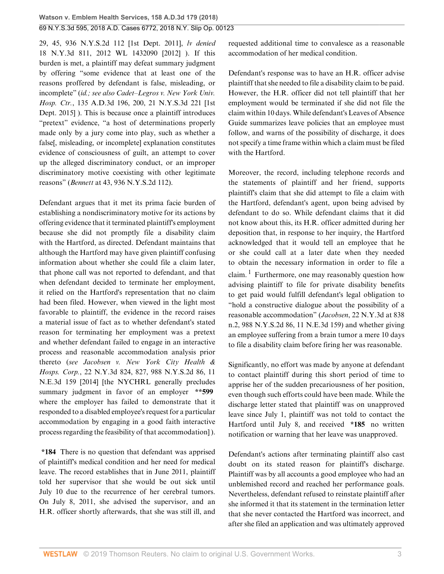[29, 45, 936 N.Y.S.2d 112 \[1st Dept. 2011\],](http://www.westlaw.com/Link/Document/FullText?findType=Y&serNum=2026710574&pubNum=0000602&originatingDoc=Id7753020f55b11e7929ecf6e705a87cd&refType=RP&originationContext=document&vr=3.0&rs=cblt1.0&transitionType=DocumentItem&contextData=(sc.Search)) *lv denied* [18 N.Y.3d 811, 2012 WL 1432090 \[2012\]](http://www.westlaw.com/Link/Document/FullText?findType=Y&serNum=2027568346&pubNum=0007048&originatingDoc=Id7753020f55b11e7929ecf6e705a87cd&refType=RP&originationContext=document&vr=3.0&rs=cblt1.0&transitionType=DocumentItem&contextData=(sc.Search)) ). If this burden is met, a plaintiff may defeat summary judgment by offering "some evidence that at least one of the reasons proffered by defendant is false, misleading, or incomplete" (*[id.;](http://www.westlaw.com/Link/Document/FullText?findType=Y&serNum=2026710574&pubNum=0007049&originatingDoc=Id7753020f55b11e7929ecf6e705a87cd&refType=RP&originationContext=document&vr=3.0&rs=cblt1.0&transitionType=DocumentItem&contextData=(sc.Search)) see also [Cadet–Legros v. New York Univ.](http://www.westlaw.com/Link/Document/FullText?findType=Y&serNum=2037760234&pubNum=0007980&originatingDoc=Id7753020f55b11e7929ecf6e705a87cd&refType=RP&originationContext=document&vr=3.0&rs=cblt1.0&transitionType=DocumentItem&contextData=(sc.Search)) Hosp. Ctr.*[, 135 A.D.3d 196, 200, 21 N.Y.S.3d 221 \[1st](http://www.westlaw.com/Link/Document/FullText?findType=Y&serNum=2037760234&pubNum=0007980&originatingDoc=Id7753020f55b11e7929ecf6e705a87cd&refType=RP&originationContext=document&vr=3.0&rs=cblt1.0&transitionType=DocumentItem&contextData=(sc.Search)) [Dept. 2015\]](http://www.westlaw.com/Link/Document/FullText?findType=Y&serNum=2037760234&pubNum=0007980&originatingDoc=Id7753020f55b11e7929ecf6e705a87cd&refType=RP&originationContext=document&vr=3.0&rs=cblt1.0&transitionType=DocumentItem&contextData=(sc.Search)) ). This is because once a plaintiff introduces "pretext" evidence, "a host of determinations properly made only by a jury come into play, such as whether a false[, misleading, or incomplete] explanation constitutes evidence of consciousness of guilt, an attempt to cover up the alleged discriminatory conduct, or an improper discriminatory motive coexisting with other legitimate reasons" (*Bennett* [at 43, 936 N.Y.S.2d 112\)](http://www.westlaw.com/Link/Document/FullText?findType=Y&serNum=2026710574&pubNum=0007049&originatingDoc=Id7753020f55b11e7929ecf6e705a87cd&refType=RP&fi=co_pp_sp_7049_43&originationContext=document&vr=3.0&rs=cblt1.0&transitionType=DocumentItem&contextData=(sc.Search)#co_pp_sp_7049_43).

Defendant argues that it met its prima facie burden of establishing a nondiscriminatory motive for its actions by offering evidence that it terminated plaintiff's employment because she did not promptly file a disability claim with the Hartford, as directed. Defendant maintains that although the Hartford may have given plaintiff confusing information about whether she could file a claim later, that phone call was not reported to defendant, and that when defendant decided to terminate her employment, it relied on the Hartford's representation that no claim had been filed. However, when viewed in the light most favorable to plaintiff, the evidence in the record raises a material issue of fact as to whether defendant's stated reason for terminating her employment was a pretext and whether defendant failed to engage in an interactive process and reasonable accommodation analysis prior thereto (*see [Jacobsen v. New York City Health &](http://www.westlaw.com/Link/Document/FullText?findType=Y&serNum=2032972415&pubNum=0007902&originatingDoc=Id7753020f55b11e7929ecf6e705a87cd&refType=RP&originationContext=document&vr=3.0&rs=cblt1.0&transitionType=DocumentItem&contextData=(sc.Search)) Hosps. Corp.*[, 22 N.Y.3d 824, 827, 988 N.Y.S.2d 86, 11](http://www.westlaw.com/Link/Document/FullText?findType=Y&serNum=2032972415&pubNum=0007902&originatingDoc=Id7753020f55b11e7929ecf6e705a87cd&refType=RP&originationContext=document&vr=3.0&rs=cblt1.0&transitionType=DocumentItem&contextData=(sc.Search)) [N.E.3d 159 \[2014\]](http://www.westlaw.com/Link/Document/FullText?findType=Y&serNum=2032972415&pubNum=0007902&originatingDoc=Id7753020f55b11e7929ecf6e705a87cd&refType=RP&originationContext=document&vr=3.0&rs=cblt1.0&transitionType=DocumentItem&contextData=(sc.Search)) [the NYCHRL generally precludes summary judgment in favor of an employer **\*\*599** where the employer has failed to demonstrate that it responded to a disabled employee's request for a particular accommodation by engaging in a good faith interactive process regarding the feasibility of that accommodation] ).

**\*184** There is no question that defendant was apprised of plaintiff's medical condition and her need for medical leave. The record establishes that in June 2011, plaintiff told her supervisor that she would be out sick until July 10 due to the recurrence of her [cerebral tumors](http://www.westlaw.com/Link/Document/FullText?entityType=disease&entityId=Iac49bc80475411db9765f9243f53508a&originationContext=document&transitionType=DocumentItem&contextData=(sc.Default)&vr=3.0&rs=cblt1.0). On July 8, 2011, she advised the supervisor, and an H.R. officer shortly afterwards, that she was still ill, and

requested additional time to convalesce as a reasonable accommodation of her medical condition.

Defendant's response was to have an H.R. officer advise plaintiff that she needed to file a disability claim to be paid. However, the H.R. officer did not tell plaintiff that her employment would be terminated if she did not file the claim within 10 days. While defendant's Leaves of Absence Guide summarizes leave policies that an employee must follow, and warns of the possibility of discharge, it does not specify a time frame within which a claim must be filed with the Hartford.

Moreover, the record, including telephone records and the statements of plaintiff and her friend, supports plaintiff's claim that she did attempt to file a claim with the Hartford, defendant's agent, upon being advised by defendant to do so. While defendant claims that it did not know about this, its H.R. officer admitted during her deposition that, in response to her inquiry, the Hartford acknowledged that it would tell an employee that he or she could call at a later date when they needed to obtain the necessary information in order to file a claim.  $\frac{1}{1}$  $\frac{1}{1}$  $\frac{1}{1}$  Furthermore, one may reasonably question how advising plaintiff to file for private disability benefits to get paid would fulfill defendant's legal obligation to "hold a constructive dialogue about the possibility of a reasonable accommodation" (*Jacobsen*[, 22 N.Y.3d at 838](http://www.westlaw.com/Link/Document/FullText?findType=Y&serNum=2032972415&pubNum=0007902&originatingDoc=Id7753020f55b11e7929ecf6e705a87cd&refType=RP&originationContext=document&vr=3.0&rs=cblt1.0&transitionType=DocumentItem&contextData=(sc.Search)) [n.2, 988 N.Y.S.2d 86, 11 N.E.3d 159\)](http://www.westlaw.com/Link/Document/FullText?findType=Y&serNum=2032972415&pubNum=0007902&originatingDoc=Id7753020f55b11e7929ecf6e705a87cd&refType=RP&originationContext=document&vr=3.0&rs=cblt1.0&transitionType=DocumentItem&contextData=(sc.Search)) and whether giving an employee suffering from a brain tumor a mere 10 days to file a disability claim before firing her was reasonable.

<span id="page-2-0"></span>Significantly, no effort was made by anyone at defendant to contact plaintiff during this short period of time to apprise her of the sudden precariousness of her position, even though such efforts could have been made. While the discharge letter stated that plaintiff was on unapproved leave since July 1, plaintiff was not told to contact the Hartford until July 8, and received **\*185** no written notification or warning that her leave was unapproved.

Defendant's actions after terminating plaintiff also cast doubt on its stated reason for plaintiff's discharge. Plaintiff was by all accounts a good employee who had an unblemished record and reached her performance goals. Nevertheless, defendant refused to reinstate plaintiff after she informed it that its statement in the termination letter that she never contacted the Hartford was incorrect, and after she filed an application and was ultimately approved